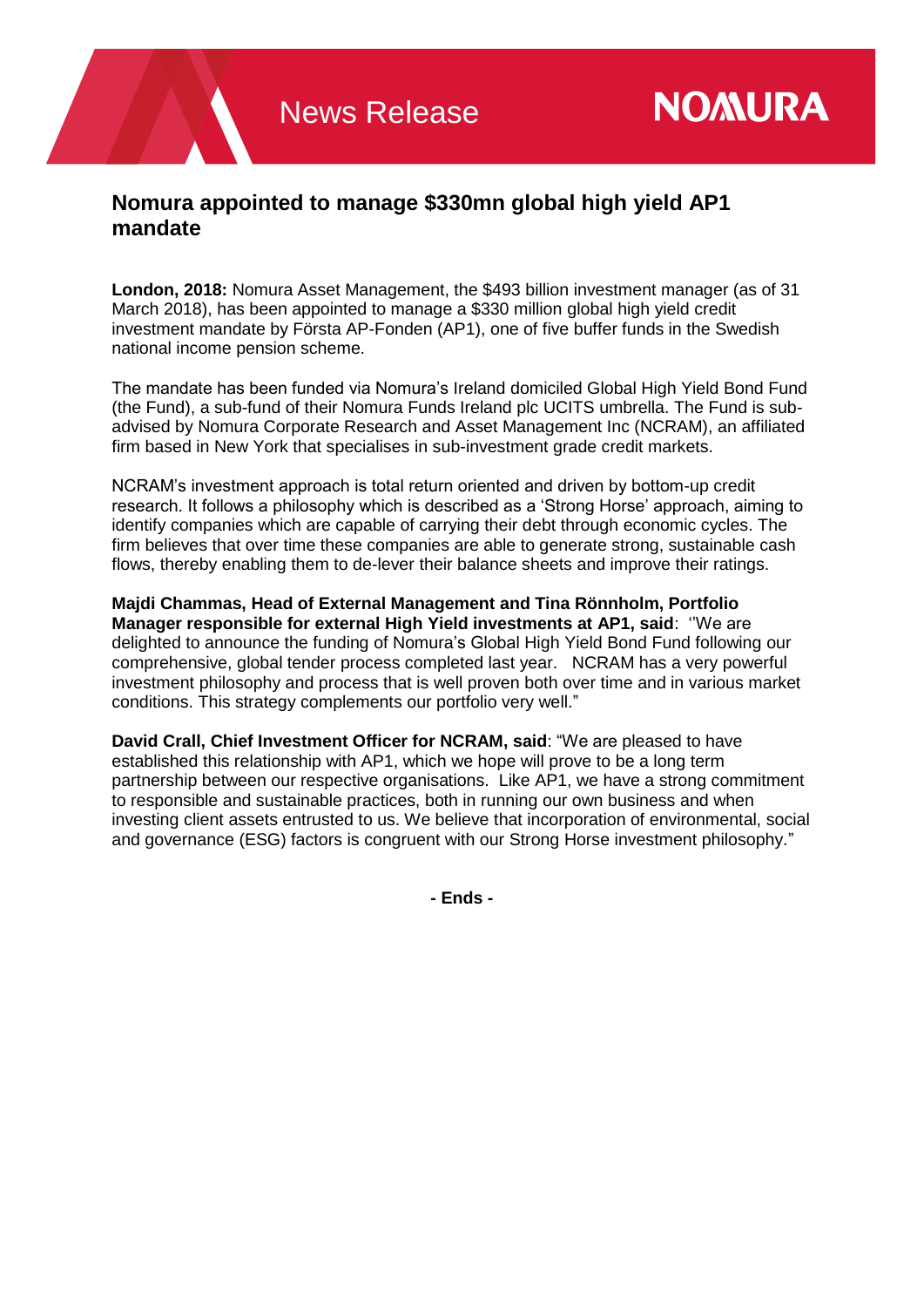## **Nomura appointed to manage \$330mn global high yield AP1 mandate**

**London, 2018:** Nomura Asset Management, the \$493 billion investment manager (as of 31 March 2018), has been appointed to manage a \$330 million global high yield credit investment mandate by Första AP-Fonden (AP1), one of five buffer funds in the Swedish national income pension scheme.

The mandate has been funded via Nomura's Ireland domiciled Global High Yield Bond Fund (the Fund), a sub-fund of their Nomura Funds Ireland plc UCITS umbrella. The Fund is subadvised by Nomura Corporate Research and Asset Management Inc (NCRAM), an affiliated firm based in New York that specialises in sub-investment grade credit markets.

NCRAM's investment approach is total return oriented and driven by bottom-up credit research. It follows a philosophy which is described as a 'Strong Horse' approach, aiming to identify companies which are capable of carrying their debt through economic cycles. The firm believes that over time these companies are able to generate strong, sustainable cash flows, thereby enabling them to de-lever their balance sheets and improve their ratings.

**Majdi Chammas, Head of External Management and Tina Rönnholm, Portfolio Manager responsible for external High Yield investments at AP1, said**: ''We are delighted to announce the funding of Nomura's Global High Yield Bond Fund following our comprehensive, global tender process completed last year. NCRAM has a very powerful investment philosophy and process that is well proven both over time and in various market conditions. This strategy complements our portfolio very well."

**David Crall, Chief Investment Officer for NCRAM, said**: "We are pleased to have established this relationship with AP1, which we hope will prove to be a long term partnership between our respective organisations. Like AP1, we have a strong commitment to responsible and sustainable practices, both in running our own business and when investing client assets entrusted to us. We believe that incorporation of environmental, social and governance (ESG) factors is congruent with our Strong Horse investment philosophy."

**- Ends -**